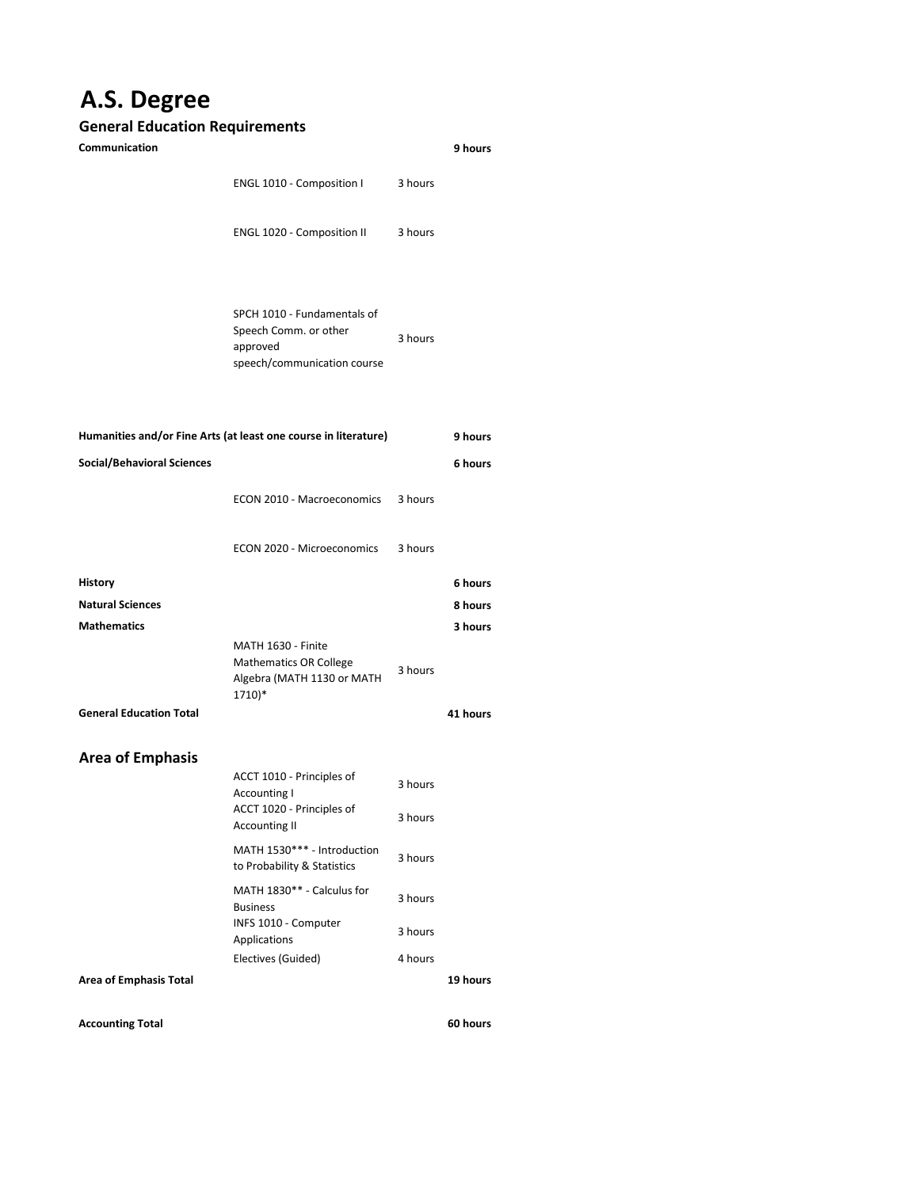## **A.S. Degree**

## **General Education Requirements**

| Communication                                                   |                                                                                                 |                    | 9 hours             |
|-----------------------------------------------------------------|-------------------------------------------------------------------------------------------------|--------------------|---------------------|
|                                                                 | ENGL 1010 - Composition I                                                                       | 3 hours            |                     |
|                                                                 | ENGL 1020 - Composition II                                                                      | 3 hours            |                     |
|                                                                 | SPCH 1010 - Fundamentals of<br>Speech Comm. or other<br>approved<br>speech/communication course | 3 hours            |                     |
| Humanities and/or Fine Arts (at least one course in literature) |                                                                                                 |                    | 9 hours             |
| <b>Social/Behavioral Sciences</b>                               |                                                                                                 |                    | 6 hours             |
|                                                                 | ECON 2010 - Macroeconomics                                                                      | 3 hours            |                     |
|                                                                 | ECON 2020 - Microeconomics                                                                      | 3 hours            |                     |
| <b>History</b>                                                  |                                                                                                 |                    | 6 hours             |
| <b>Natural Sciences</b>                                         |                                                                                                 |                    | 8 hours             |
| <b>Mathematics</b><br><b>General Education Total</b>            | MATH 1630 - Finite<br><b>Mathematics OR College</b><br>Algebra (MATH 1130 or MATH<br>$1710)*$   | 3 hours            | 3 hours<br>41 hours |
|                                                                 |                                                                                                 |                    |                     |
| <b>Area of Emphasis</b>                                         | ACCT 1010 - Principles of<br>Accounting I<br>ACCT 1020 - Principles of<br><b>Accounting II</b>  | 3 hours<br>3 hours |                     |
|                                                                 | MATH 1530*** - Introduction<br>to Probability & Statistics                                      | 3 hours            |                     |
|                                                                 | MATH 1830** - Calculus for<br><b>Business</b>                                                   | 3 hours            |                     |
|                                                                 | INFS 1010 - Computer<br>Applications                                                            | 3 hours            |                     |
|                                                                 | Electives (Guided)                                                                              | 4 hours            |                     |
| <b>Area of Emphasis Total</b>                                   |                                                                                                 |                    | 19 hours            |
|                                                                 |                                                                                                 |                    |                     |

**Accounting Total**

**60 hours**